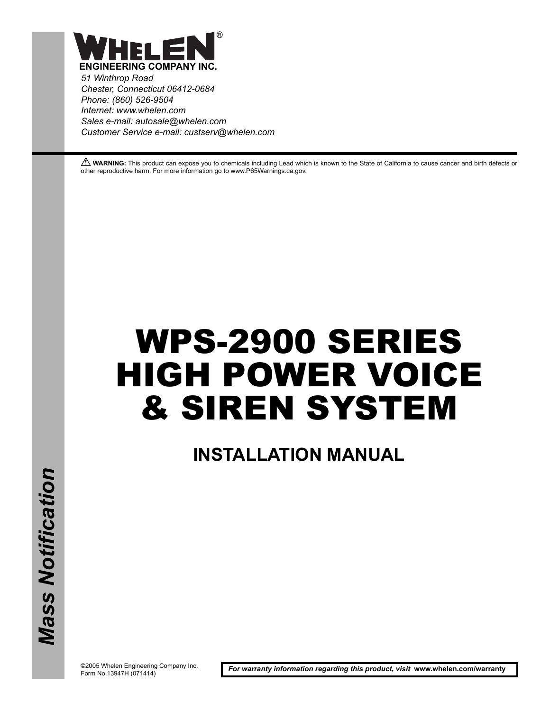

*51 Winthrop Road Chester, Connecticut 06412-0684 Phone: (860) 526-9504 Internet: www.whelen.com Sales e-mail: autosale@whelen.com Customer Service e-mail: custserv@whelen.com*

**A WARNING:** This product can expose you to chemicals including Lead which is known to the State of California to cause cancer and birth defects or other reproductive harm. For more information go to www.P65Warnings.ca.gov.

# WPS-2900 SERIES HIGH POWER VOICE & SIREN SYSTEM

**INSTALLATION MANUAL**

©2005 Whelen Engineering Company Inc. Form No.13947H (071414)

*For warranty information regarding this product, visit* **www.whelen.com/warranty**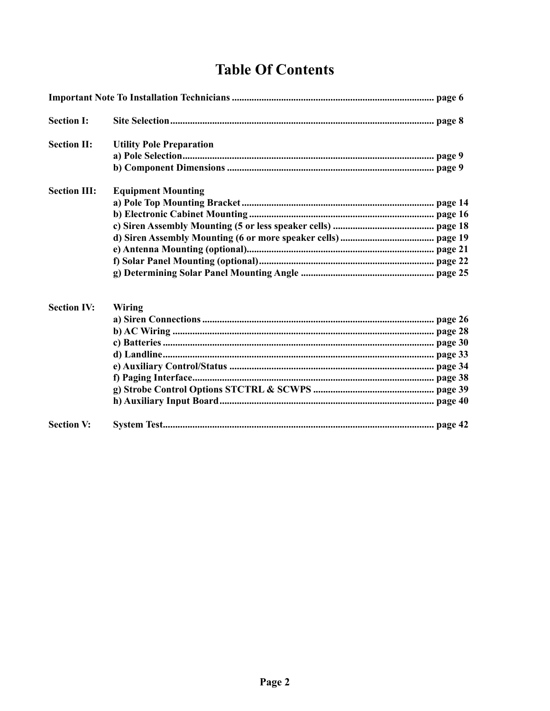### **Table Of Contents**

| <b>Section I:</b>   |                                 |  |
|---------------------|---------------------------------|--|
| <b>Section II:</b>  | <b>Utility Pole Preparation</b> |  |
|                     |                                 |  |
|                     |                                 |  |
| <b>Section III:</b> | <b>Equipment Mounting</b>       |  |
|                     |                                 |  |
|                     |                                 |  |
|                     |                                 |  |
|                     |                                 |  |
|                     |                                 |  |
|                     |                                 |  |
|                     |                                 |  |
| <b>Section IV:</b>  | Wiring                          |  |
|                     |                                 |  |
|                     |                                 |  |
|                     |                                 |  |
|                     |                                 |  |
|                     |                                 |  |
|                     |                                 |  |
|                     |                                 |  |
|                     |                                 |  |
| <b>Section V:</b>   |                                 |  |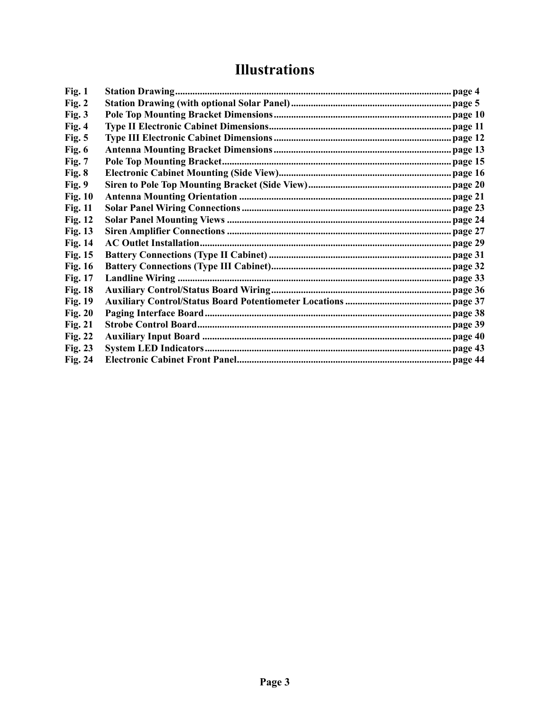### **Illustrations**

| Fig. 1         |  |
|----------------|--|
| Fig. 2         |  |
| Fig. 3         |  |
| Fig. 4         |  |
| Fig. 5         |  |
| Fig. $6$       |  |
| Fig. 7         |  |
| Fig. 8         |  |
| Fig. 9         |  |
| <b>Fig. 10</b> |  |
| <b>Fig. 11</b> |  |
| <b>Fig. 12</b> |  |
| <b>Fig. 13</b> |  |
| <b>Fig. 14</b> |  |
| <b>Fig. 15</b> |  |
| <b>Fig. 16</b> |  |
| Fig. 17        |  |
| <b>Fig. 18</b> |  |
| <b>Fig. 19</b> |  |
| <b>Fig. 20</b> |  |
| <b>Fig. 21</b> |  |
| <b>Fig. 22</b> |  |
| <b>Fig. 23</b> |  |
| Fig. 24        |  |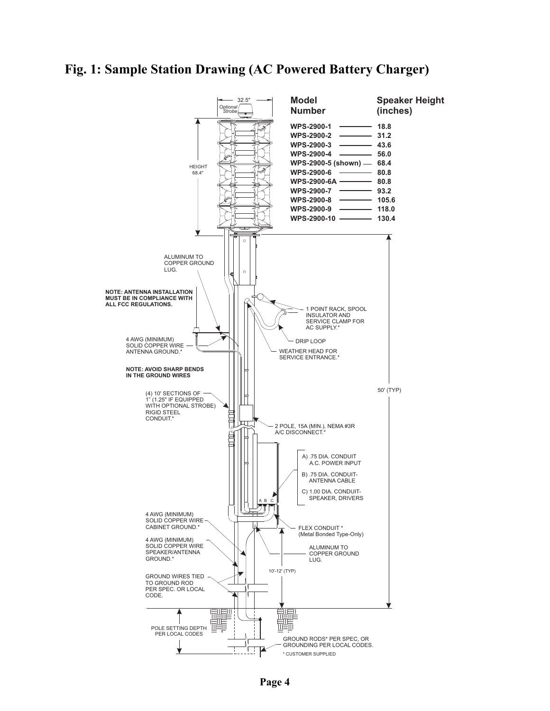#### <span id="page-3-0"></span>**Fig. 1: Sample Station Drawing (AC Powered Battery Charger)**

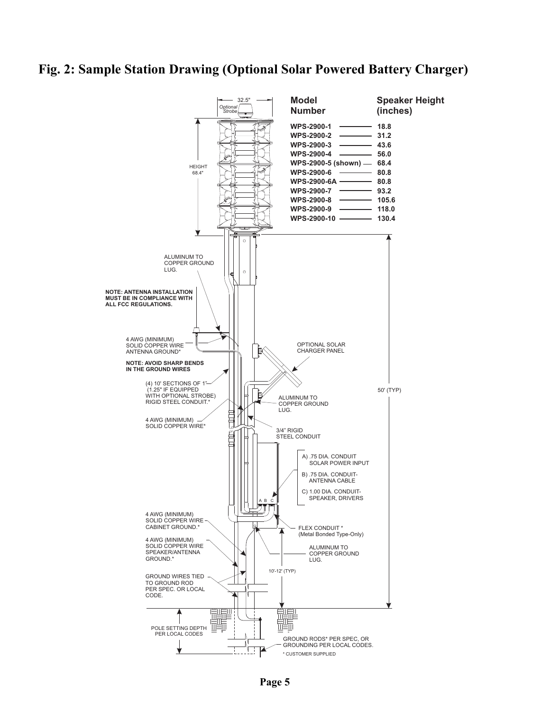#### <span id="page-4-0"></span>**Fig. 2: Sample Station Drawing (Optional Solar Powered Battery Charger)**



**Page 5**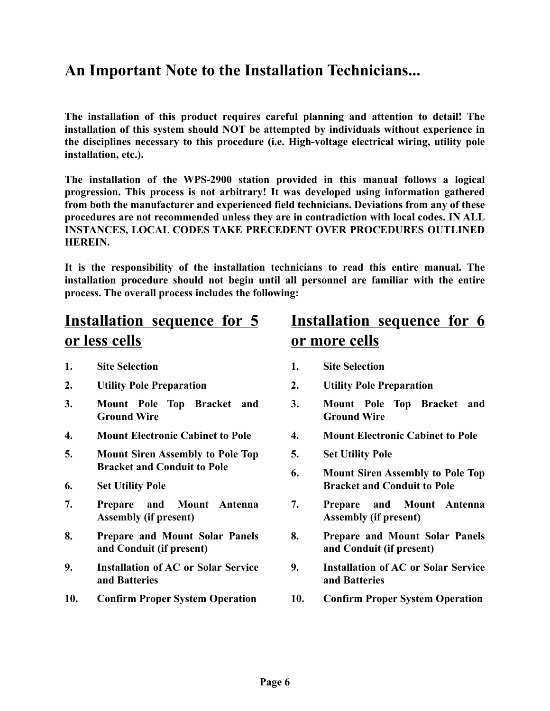### <span id="page-5-0"></span>**An Important Note to the Installation Technicians...**

**The installation of this product requires careful planning and attention to detail! The installation of this system should NOT be attempted by individuals without experience in the disciplines necessary to this procedure (i.e. High-voltage electrical wiring, utility pole installation, etc.).**

**The installation of the WPS-2900 station provided in this manual follows a logical progression. This process is not arbitrary! It was developed using information gathered from both the manufacturer and experienced field technicians. Deviations from any of these procedures are not recommended unless they are in contradiction with local codes. IN ALL INSTANCES, LOCAL CODES TAKE PRECEDENT OVER PROCEDURES OUTLINED HEREIN.**

**It is the responsibility of the installation technicians to read this entire manual. The installation procedure should not begin until all personnel are familiar with the entire process. The overall process includes the following:**

### **Installation sequence for 5 or less cells**

- **1. Site Selection**
- **2. Utility Pole Preparation**
- **3. Mount Pole Top Bracket and Ground Wire**
- **4. Mount Electronic Cabinet to Pole**
- **5. Mount Siren Assembly to Pole Top Bracket and Conduit to Pole**
- **6. Set Utility Pole**
- **7. Prepare and Mount Antenna Assembly (if present)**
- **8. Prepare and Mount Solar Panels and Conduit (if present)**
- **9. Installation of AC or Solar Service and Batteries**
- **10. Confirm Proper System Operation**

### **Installation sequence for 6 or more cells**

- **1. Site Selection**
- **2. Utility Pole Preparation**
- **3. Mount Pole Top Bracket and Ground Wire**
- **4. Mount Electronic Cabinet to Pole**
- **5. Set Utility Pole**
- **6. Mount Siren Assembly to Pole Top Bracket and Conduit to Pole**
- **7. Prepare and Mount Antenna Assembly (if present)**
- **8. Prepare and Mount Solar Panels and Conduit (if present)**
- **9. Installation of AC or Solar Service and Batteries**
- **10. Confirm Proper System Operation**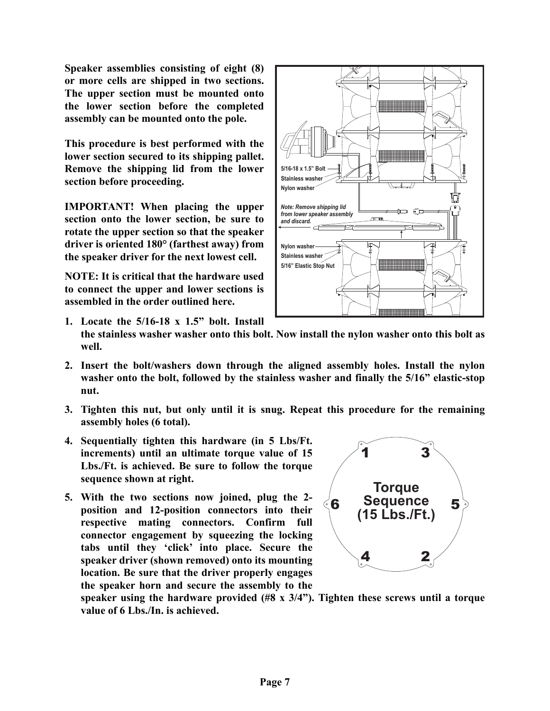**Speaker assemblies consisting of eight (8) or more cells are shipped in two sections. The upper section must be mounted onto the lower section before the completed assembly can be mounted onto the pole.**

**This procedure is best performed with the lower section secured to its shipping pallet. Remove the shipping lid from the lower section before proceeding.**

**IMPORTANT! When placing the upper section onto the lower section, be sure to rotate the upper section so that the speaker driver is oriented 180° (farthest away) from the speaker driver for the next lowest cell.** 

**NOTE: It is critical that the hardware used to connect the upper and lower sections is assembled in the order outlined here.**



- **1. Locate the 5/16-18 x 1.5" bolt. Install the stainless washer washer onto this bolt. Now install the nylon washer onto this bolt as well.**
- **2. Insert the bolt/washers down through the aligned assembly holes. Install the nylon washer onto the bolt, followed by the stainless washer and finally the 5/16" elastic-stop nut.**
- **3. Tighten this nut, but only until it is snug. Repeat this procedure for the remaining assembly holes (6 total).**
- **4. Sequentially tighten this hardware (in 5 Lbs/Ft. increments) until an ultimate torque value of 15 Lbs./Ft. is achieved. Be sure to follow the torque sequence shown at right.**
- **5. With the two sections now joined, plug the 2 position and 12-position connectors into their respective mating connectors. Confirm full connector engagement by squeezing the locking tabs until they 'click' into place. Secure the speaker driver (shown removed) onto its mounting location. Be sure that the driver properly engages the speaker horn and secure the assembly to the**



**speaker using the hardware provided (#8 x 3/4"). Tighten these screws until a torque value of 6 Lbs./In. is achieved.**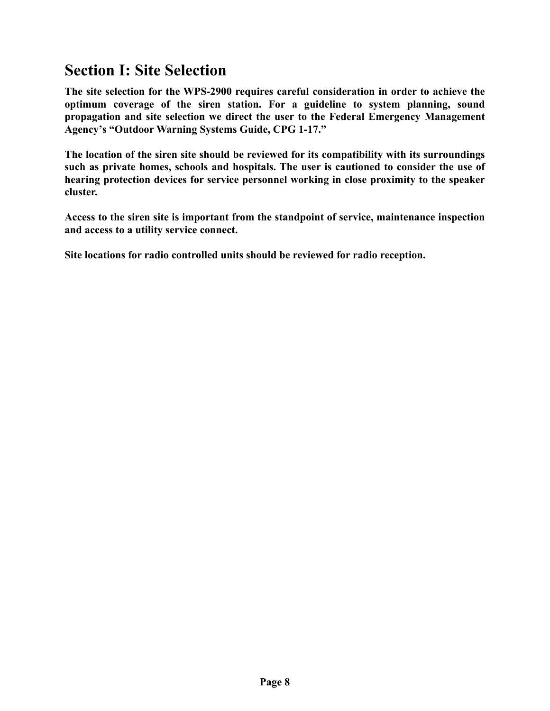### <span id="page-7-0"></span>**Section I: Site Selection**

**The site selection for the WPS-2900 requires careful consideration in order to achieve the optimum coverage of the siren station. For a guideline to system planning, sound propagation and site selection we direct the user to the Federal Emergency Management Agency's "Outdoor Warning Systems Guide, CPG 1-17."**

**The location of the siren site should be reviewed for its compatibility with its surroundings such as private homes, schools and hospitals. The user is cautioned to consider the use of hearing protection devices for service personnel working in close proximity to the speaker cluster.**

**Access to the siren site is important from the standpoint of service, maintenance inspection and access to a utility service connect.**

**Site locations for radio controlled units should be reviewed for radio reception.**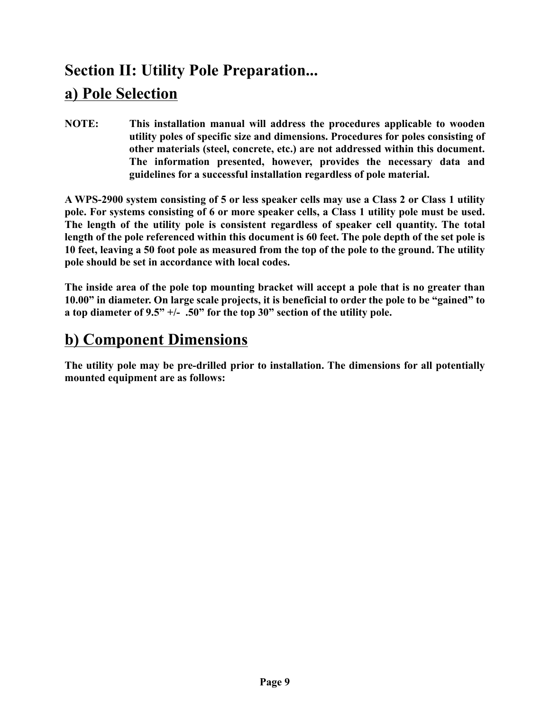### <span id="page-8-0"></span>**Section II: Utility Pole Preparation... a) Pole Selection**

**NOTE: This installation manual will address the procedures applicable to wooden utility poles of specific size and dimensions. Procedures for poles consisting of other materials (steel, concrete, etc.) are not addressed within this document. The information presented, however, provides the necessary data and guidelines for a successful installation regardless of pole material.**

**A WPS-2900 system consisting of 5 or less speaker cells may use a Class 2 or Class 1 utility pole. For systems consisting of 6 or more speaker cells, a Class 1 utility pole must be used. The length of the utility pole is consistent regardless of speaker cell quantity. The total length of the pole referenced within this document is 60 feet. The pole depth of the set pole is 10 feet, leaving a 50 foot pole as measured from the top of the pole to the ground. The utility pole should be set in accordance with local codes.**

**The inside area of the pole top mounting bracket will accept a pole that is no greater than 10.00" in diameter. On large scale projects, it is beneficial to order the pole to be "gained" to a top diameter of 9.5" +/- .50" for the top 30" section of the utility pole.**

### <span id="page-8-1"></span>**b) Component Dimensions**

**The utility pole may be pre-drilled prior to installation. The dimensions for all potentially mounted equipment are as follows:**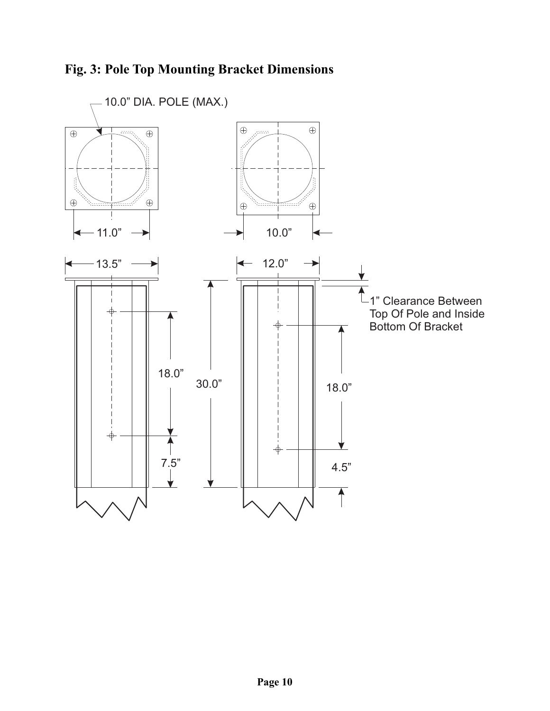<span id="page-9-0"></span>

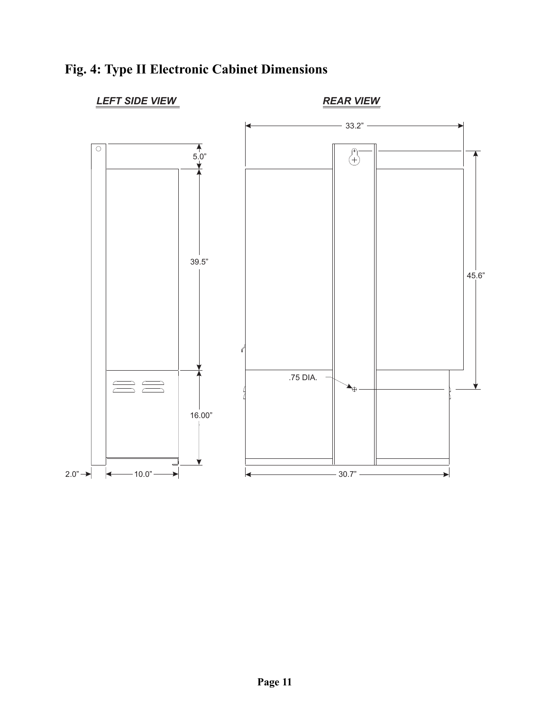

### <span id="page-10-0"></span>**Fig. 4: Type II Electronic Cabinet Dimensions**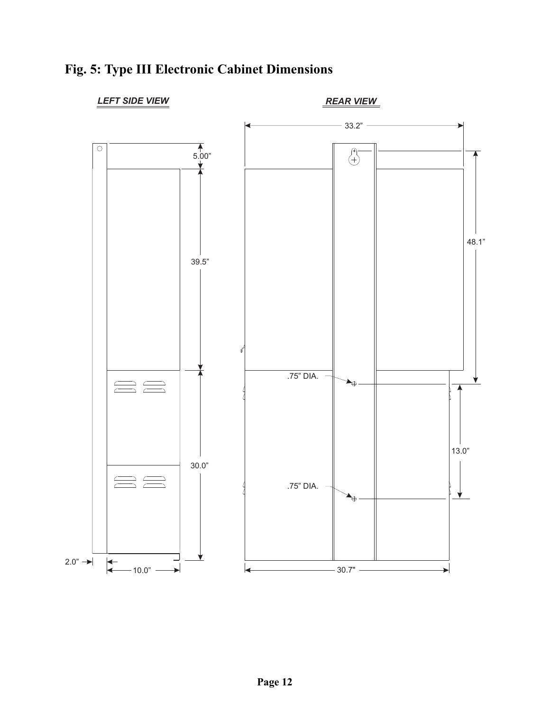

### <span id="page-11-0"></span>**Fig. 5: Type III Electronic Cabinet Dimensions**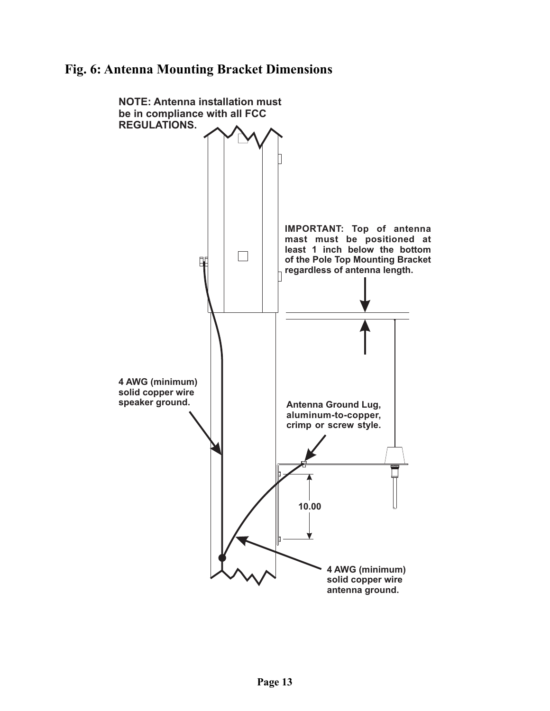#### <span id="page-12-0"></span>**Fig. 6: Antenna Mounting Bracket Dimensions**

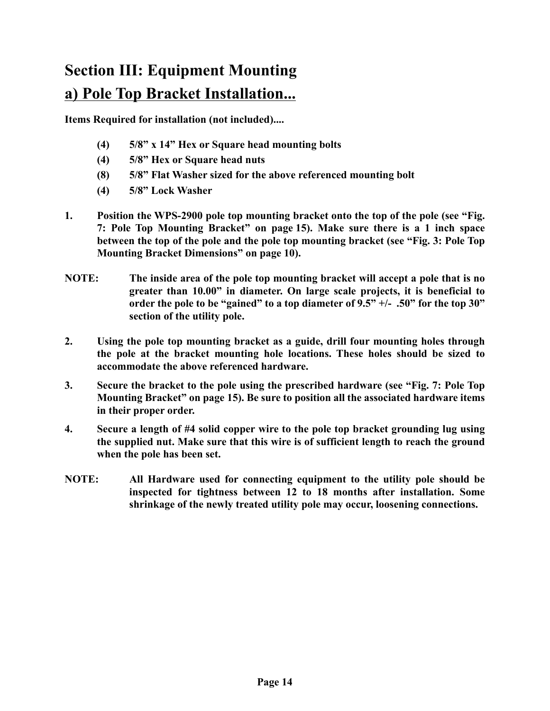## <span id="page-13-0"></span>**Section III: Equipment Mounting a) Pole Top Bracket Installation...**

**Items Required for installation (not included)....**

- **(4) 5/8" x 14" Hex or Square head mounting bolts**
- **(4) 5/8" Hex or Square head nuts**
- **(8) 5/8" Flat Washer sized for the above referenced mounting bolt**
- **(4) 5/8" Lock Washer**
- **1. Position the WPS-2900 pole top mounting bracket onto the top of the pole [\(see "Fig.](#page-14-0) [7: Pole Top Mounting Bracket" on page 15\)](#page-14-0). Make sure there is a 1 inch space between the top of the pole and the pole top mounting bracket [\(see "Fig. 3: Pole Top](#page-9-0) [Mounting Bracket Dimensions" on page 10\)](#page-9-0).**
- **NOTE: The inside area of the pole top mounting bracket will accept a pole that is no greater than 10.00" in diameter. On large scale projects, it is beneficial to order the pole to be "gained" to a top diameter of 9.5" +/- .50" for the top 30" section of the utility pole.**
- **2. Using the pole top mounting bracket as a guide, drill four mounting holes through the pole at the bracket mounting hole locations. These holes should be sized to accommodate the above referenced hardware.**
- **3. Secure the bracket to the pole using the prescribed hardware [\(see "Fig. 7: Pole Top](#page-14-0) [Mounting Bracket" on page 15\)](#page-14-0). Be sure to position all the associated hardware items in their proper order.**
- **4. Secure a length of #4 solid copper wire to the pole top bracket grounding lug using the supplied nut. Make sure that this wire is of sufficient length to reach the ground when the pole has been set.**
- **NOTE: All Hardware used for connecting equipment to the utility pole should be inspected for tightness between 12 to 18 months after installation. Some shrinkage of the newly treated utility pole may occur, loosening connections.**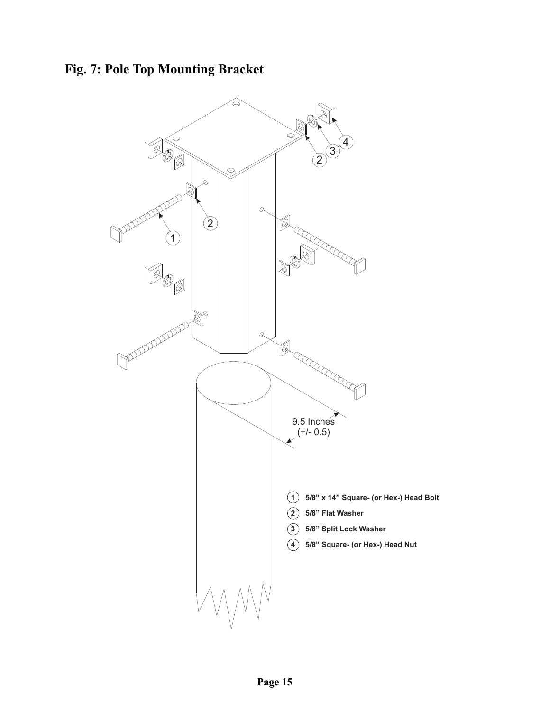<span id="page-14-0"></span>**Fig. 7: Pole Top Mounting Bracket**

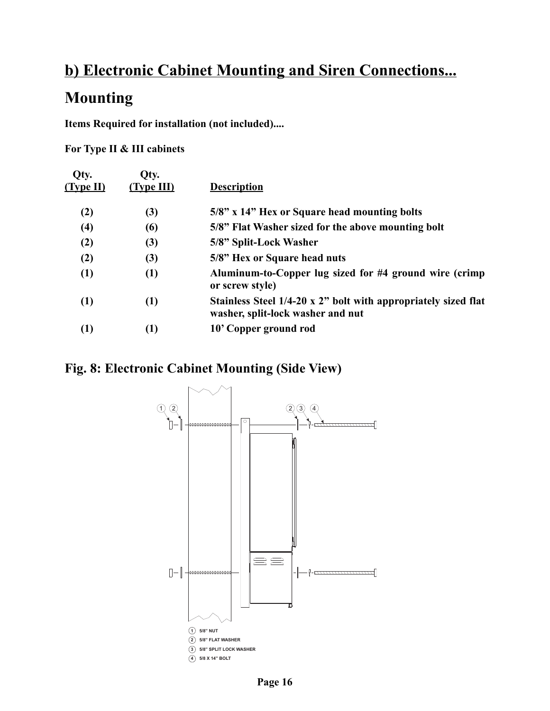### <span id="page-15-0"></span>**b) Electronic Cabinet Mounting and Siren Connections...**

### **Mounting**

**Items Required for installation (not included)....**

**For Type II & III cabinets**

| Qty.<br>(Type II) | Qty.<br>$(T$ vpe $III)$ | <b>Description</b>                                                                                  |
|-------------------|-------------------------|-----------------------------------------------------------------------------------------------------|
| (2)               | (3)                     | 5/8" x 14" Hex or Square head mounting bolts                                                        |
| $\left( 4\right)$ | (6)                     | 5/8" Flat Washer sized for the above mounting bolt                                                  |
| (2)               | (3)                     | 5/8" Split-Lock Washer                                                                              |
| (2)               | (3)                     | 5/8" Hex or Square head nuts                                                                        |
| (1)               | (1)                     | Aluminum-to-Copper lug sized for #4 ground wire (crimp<br>or screw style)                           |
| $\left(1\right)$  | (1)                     | Stainless Steel 1/4-20 x 2" bolt with appropriately sized flat<br>washer, split-lock washer and nut |
| $\left(1\right)$  | (1)                     | 10' Copper ground rod                                                                               |

### <span id="page-15-1"></span>**Fig. 8: Electronic Cabinet Mounting (Side View)**



**Page 16**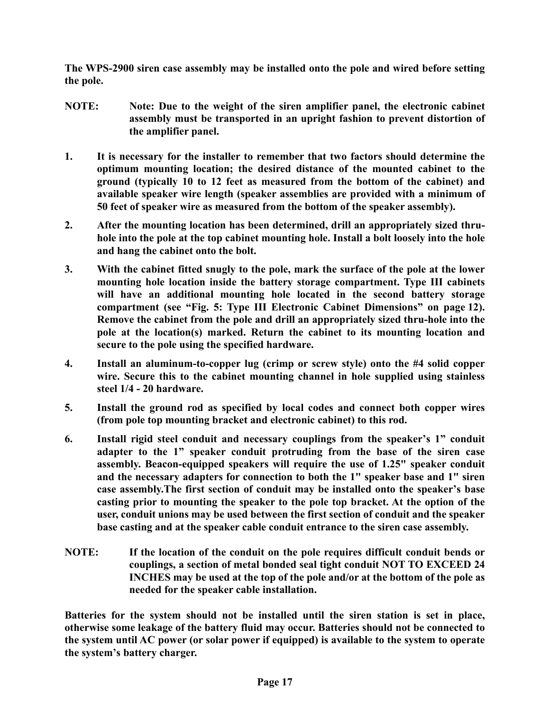**The WPS-2900 siren case assembly may be installed onto the pole and wired before setting the pole.**

- **NOTE: Note: Due to the weight of the siren amplifier panel, the electronic cabinet assembly must be transported in an upright fashion to prevent distortion of the amplifier panel.**
- **1. It is necessary for the installer to remember that two factors should determine the optimum mounting location; the desired distance of the mounted cabinet to the ground (typically 10 to 12 feet as measured from the bottom of the cabinet) and available speaker wire length (speaker assemblies are provided with a minimum of 50 feet of speaker wire as measured from the bottom of the speaker assembly).**
- **2. After the mounting location has been determined, drill an appropriately sized thruhole into the pole at the top cabinet mounting hole. Install a bolt loosely into the hole and hang the cabinet onto the bolt.**
- **3. With the cabinet fitted snugly to the pole, mark the surface of the pole at the lower mounting hole location inside the battery storage compartment. Type III cabinets will have an additional mounting hole located in the second battery storage compartment [\(see "Fig. 5: Type III Electronic Cabinet Dimensions" on page 12\)](#page-11-0). Remove the cabinet from the pole and drill an appropriately sized thru-hole into the pole at the location(s) marked. Return the cabinet to its mounting location and secure to the pole using the specified hardware.**
- **4. Install an aluminum-to-copper lug (crimp or screw style) onto the #4 solid copper wire. Secure this to the cabinet mounting channel in hole supplied using stainless steel 1/4 - 20 hardware.**
- **5. Install the ground rod as specified by local codes and connect both copper wires (from pole top mounting bracket and electronic cabinet) to this rod.**
- **6. Install rigid steel conduit and necessary couplings from the speaker's 1" conduit adapter to the 1" speaker conduit protruding from the base of the siren case assembly. Beacon-equipped speakers will require the use of 1.25" speaker conduit and the necessary adapters for connection to both the 1" speaker base and 1" siren case assembly.The first section of conduit may be installed onto the speaker's base casting prior to mounting the speaker to the pole top bracket. At the option of the user, conduit unions may be used between the first section of conduit and the speaker base casting and at the speaker cable conduit entrance to the siren case assembly.**
- **NOTE: If the location of the conduit on the pole requires difficult conduit bends or couplings, a section of metal bonded seal tight conduit NOT TO EXCEED 24 INCHES may be used at the top of the pole and/or at the bottom of the pole as needed for the speaker cable installation.**

**Batteries for the system should not be installed until the siren station is set in place, otherwise some leakage of the battery fluid may occur. Batteries should not be connected to the system until AC power (or solar power if equipped) is available to the system to operate the system's battery charger.**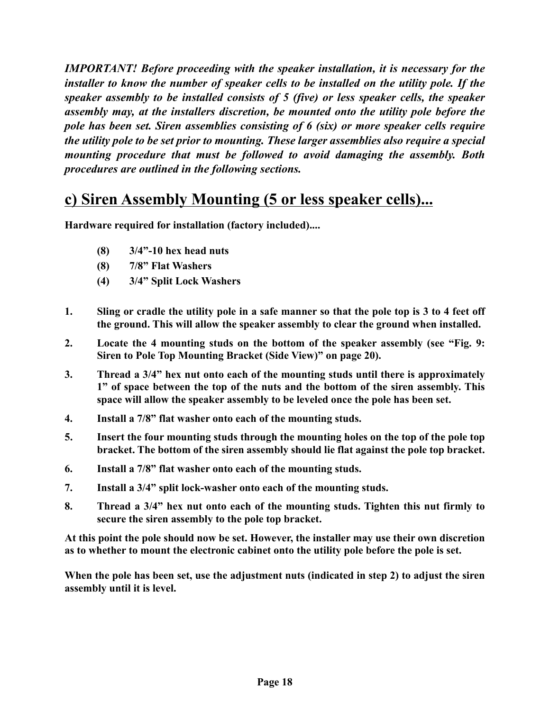*IMPORTANT! Before proceeding with the speaker installation, it is necessary for the installer to know the number of speaker cells to be installed on the utility pole. If the speaker assembly to be installed consists of 5 (five) or less speaker cells, the speaker assembly may, at the installers discretion, be mounted onto the utility pole before the pole has been set. Siren assemblies consisting of 6 (six) or more speaker cells require the utility pole to be set prior to mounting. These larger assemblies also require a special mounting procedure that must be followed to avoid damaging the assembly. Both procedures are outlined in the following sections.*

### <span id="page-17-0"></span>**c) Siren Assembly Mounting (5 or less speaker cells)...**

**Hardware required for installation (factory included)....**

- **(8) 3/4"-10 hex head nuts**
- **(8) 7/8" Flat Washers**
- **(4) 3/4" Split Lock Washers**
- **1. Sling or cradle the utility pole in a safe manner so that the pole top is 3 to 4 feet off the ground. This will allow the speaker assembly to clear the ground when installed.**
- **2. Locate the 4 mounting studs on the bottom of the speaker assembly [\(see "Fig. 9:](#page-19-0) [Siren to Pole Top Mounting Bracket \(Side View\)" on page 20\).](#page-19-0)**
- **3. Thread a 3/4" hex nut onto each of the mounting studs until there is approximately 1" of space between the top of the nuts and the bottom of the siren assembly. This space will allow the speaker assembly to be leveled once the pole has been set.**
- **4. Install a 7/8" flat washer onto each of the mounting studs.**
- **5. Insert the four mounting studs through the mounting holes on the top of the pole top bracket. The bottom of the siren assembly should lie flat against the pole top bracket.**
- **6. Install a 7/8" flat washer onto each of the mounting studs.**
- **7. Install a 3/4" split lock-washer onto each of the mounting studs.**
- **8. Thread a 3/4" hex nut onto each of the mounting studs. Tighten this nut firmly to secure the siren assembly to the pole top bracket.**

**At this point the pole should now be set. However, the installer may use their own discretion as to whether to mount the electronic cabinet onto the utility pole before the pole is set.**

**When the pole has been set, use the adjustment nuts (indicated in step 2) to adjust the siren assembly until it is level.**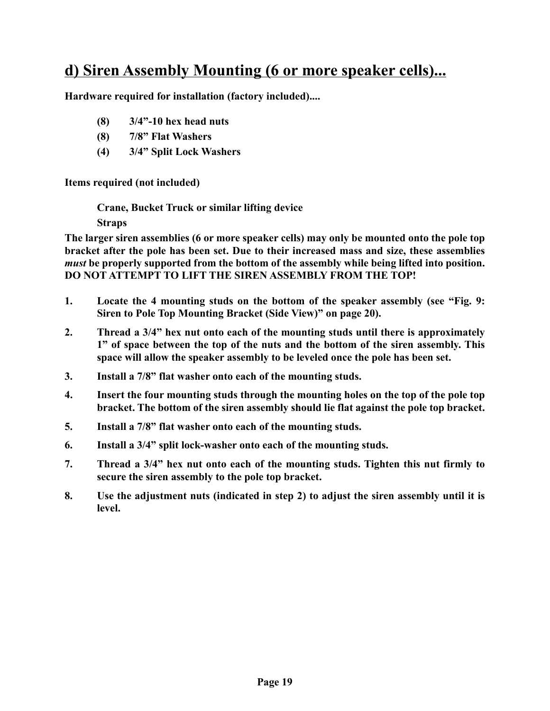### <span id="page-18-0"></span>**d) Siren Assembly Mounting (6 or more speaker cells)...**

**Hardware required for installation (factory included)....**

- **(8) 3/4"-10 hex head nuts**
- **(8) 7/8" Flat Washers**
- **(4) 3/4" Split Lock Washers**

**Items required (not included)**

**Crane, Bucket Truck or similar lifting device**

**Straps** 

**The larger siren assemblies (6 or more speaker cells) may only be mounted onto the pole top bracket after the pole has been set. Due to their increased mass and size, these assemblies** *must* **be properly supported from the bottom of the assembly while being lifted into position. DO NOT ATTEMPT TO LIFT THE SIREN ASSEMBLY FROM THE TOP!**

- **1. Locate the 4 mounting studs on the bottom of the speaker assembly [\(see "Fig. 9:](#page-19-0) [Siren to Pole Top Mounting Bracket \(Side View\)" on page 20\).](#page-19-0)**
- **2. Thread a 3/4" hex nut onto each of the mounting studs until there is approximately 1" of space between the top of the nuts and the bottom of the siren assembly. This space will allow the speaker assembly to be leveled once the pole has been set.**
- **3. Install a 7/8" flat washer onto each of the mounting studs.**
- **4. Insert the four mounting studs through the mounting holes on the top of the pole top bracket. The bottom of the siren assembly should lie flat against the pole top bracket.**
- **5. Install a 7/8" flat washer onto each of the mounting studs.**
- **6. Install a 3/4" split lock-washer onto each of the mounting studs.**
- **7. Thread a 3/4" hex nut onto each of the mounting studs. Tighten this nut firmly to secure the siren assembly to the pole top bracket.**
- **8. Use the adjustment nuts (indicated in step 2) to adjust the siren assembly until it is level.**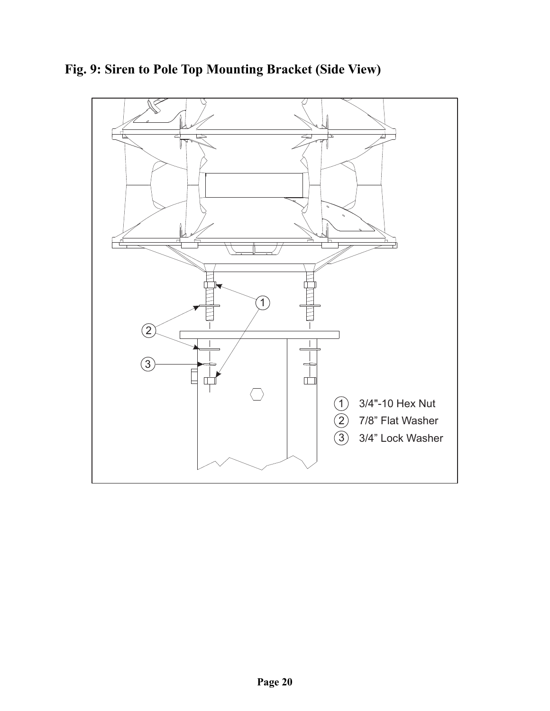

<span id="page-19-0"></span>**Fig. 9: Siren to Pole Top Mounting Bracket (Side View)**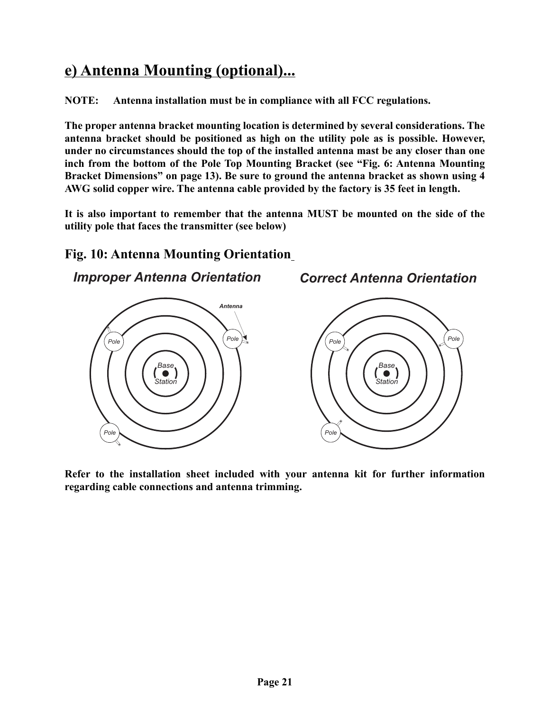### <span id="page-20-0"></span>**e) Antenna Mounting (optional)...**

**NOTE: Antenna installation must be in compliance with all FCC regulations.**

**The proper antenna bracket mounting location is determined by several considerations. The antenna bracket should be positioned as high on the utility pole as is possible. However, under no circumstances should the top of the installed antenna mast be any closer than one inch from the bottom of the Pole Top Mounting Bracket [\(see "Fig. 6: Antenna Mounting](#page-12-0) [Bracket Dimensions" on page 13\).](#page-12-0) Be sure to ground the antenna bracket as shown using 4 AWG solid copper wire. The antenna cable provided by the factory is 35 feet in length.**

**It is also important to remember that the antenna MUST be mounted on the side of the utility pole that faces the transmitter (see below)**

*Correct Antenna Orientation*

#### <span id="page-20-1"></span>**Fig. 10: Antenna Mounting Orientation**

*Improper Antenna Orientation*



**Refer to the installation sheet included with your antenna kit for further information regarding cable connections and antenna trimming.**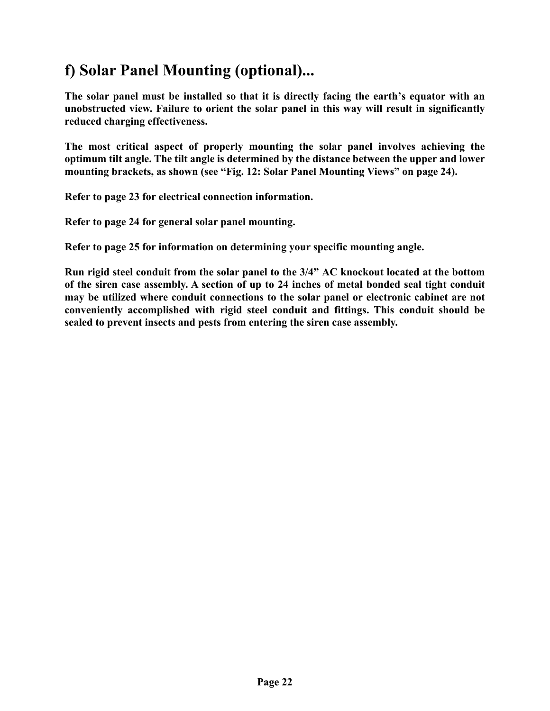### <span id="page-21-0"></span>**f) Solar Panel Mounting (optional)...**

**The solar panel must be installed so that it is directly facing the earth's equator with an unobstructed view. Failure to orient the solar panel in this way will result in significantly reduced charging effectiveness.**

**The most critical aspect of properly mounting the solar panel involves achieving the optimum tilt angle. The tilt angle is determined by the distance between the upper and lower mounting brackets, as shown [\(see "Fig. 12: Solar Panel Mounting Views" on page 24\).](#page-23-0)**

**Refer to [page 23](#page-22-0) for electrical connection information.**

**Refer to [page 24](#page-23-0) for general solar panel mounting.**

**Refer to [page 25](#page-24-0) for information on determining your specific mounting angle.**

**Run rigid steel conduit from the solar panel to the 3/4" AC knockout located at the bottom of the siren case assembly. A section of up to 24 inches of metal bonded seal tight conduit may be utilized where conduit connections to the solar panel or electronic cabinet are not conveniently accomplished with rigid steel conduit and fittings. This conduit should be sealed to prevent insects and pests from entering the siren case assembly.**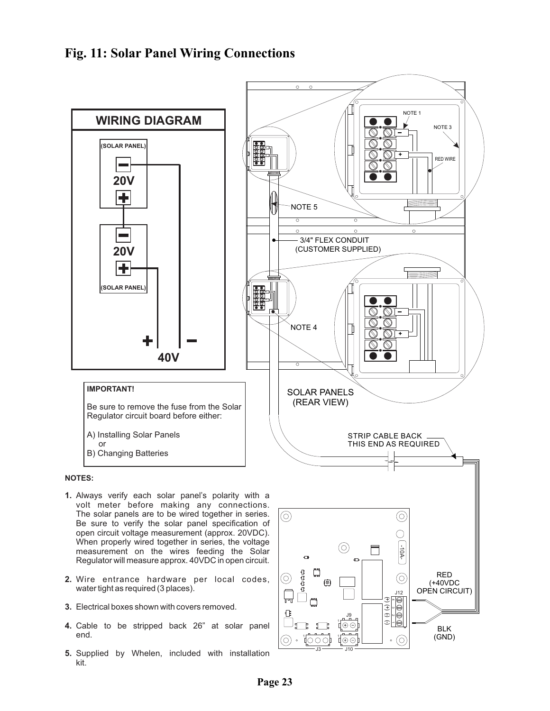#### <span id="page-22-0"></span>**Fig. 11: Solar Panel Wiring Connections**



**2.** Wire entrance hardware per local codes, water tight as required (3 places).

Regulator will measure approx. 40VDC in open circuit.

- **3.** Electrical boxes shown with covers removed.
- **4.** Cable to be stripped back 26" at solar panel end.
- **5.** Supplied by Whelen, included with installation kit.

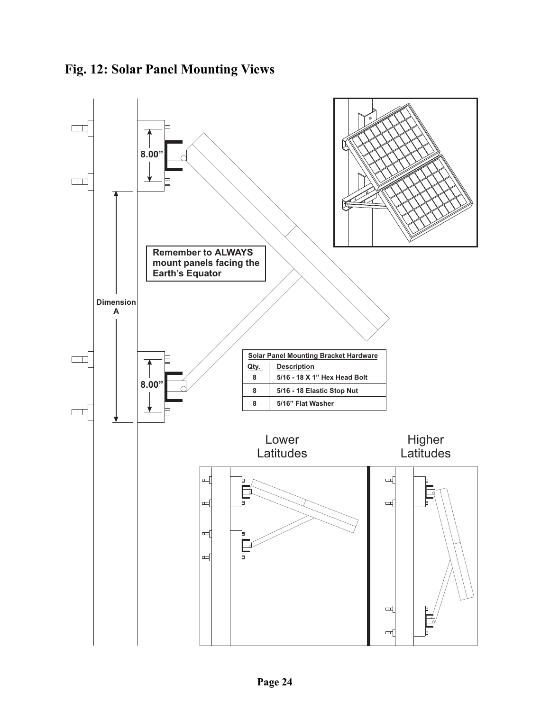<span id="page-23-0"></span>

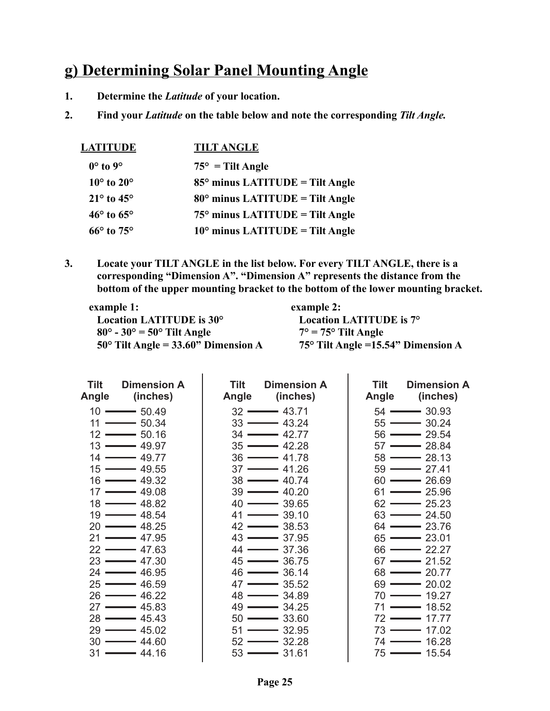### <span id="page-24-0"></span>**g) Determining Solar Panel Mounting Angle**

- **1. Determine the** *Latitude* **of your location.**
- **2. Find your** *Latitude* **on the table below and note the corresponding** *Tilt Angle.*

| <u>LATITUDE</u>              | <b>TILT ANGLE</b>                        |
|------------------------------|------------------------------------------|
| $0^\circ$ to $9^\circ$       | $75^{\circ}$ = Tilt Angle                |
| $10^{\circ}$ to $20^{\circ}$ | $85^\circ$ minus LATITUDE = Tilt Angle   |
| $21^{\circ}$ to $45^{\circ}$ | $80^\circ$ minus LATITUDE = Tilt Angle   |
| $46^{\circ}$ to $65^{\circ}$ | $75^\circ$ minus LATITUDE = Tilt Angle   |
| $66^{\circ}$ to $75^{\circ}$ | $10^{\circ}$ minus LATITUDE = Tilt Angle |

**3. Locate your TILT ANGLE in the list below. For every TILT ANGLE, there is a corresponding "Dimension A". "Dimension A" represents the distance from the bottom of the upper mounting bracket to the bottom of the lower mounting bracket.**

| example 1:                                   | example 2:                                  |
|----------------------------------------------|---------------------------------------------|
| Location LATITUDE is 30°                     | Location LATITUDE is 7°                     |
| $80^\circ$ - 30° = 50° Tilt Angle            | $7^\circ$ = 75 $^\circ$ Tilt Angle          |
| $50^{\circ}$ Tilt Angle = 33.60" Dimension A | 75 $\degree$ Tilt Angle =15.54" Dimension A |

| <b>Tilt</b><br>Dimension A<br>(inches)<br>Angle | Tilt<br><b>Dimension A</b><br>(inches)<br>Angle | Tilt<br><b>Dimension A</b><br>(inches)<br>Angle |
|-------------------------------------------------|-------------------------------------------------|-------------------------------------------------|
| $10 \longrightarrow 5049$                       | $32 \longrightarrow 43.71$                      | $54 \longrightarrow 30.93$                      |
| $11 \longrightarrow 50.34$                      | $33 \rightarrow 43.24$                          | $55 \longrightarrow 30.24$                      |
| $12 \longrightarrow 50.16$                      | $34 \longrightarrow 42.77$                      | $56 \longrightarrow 29.54$                      |
| $13 \longrightarrow 49.97$                      | $35 \rightarrow 42.28$                          | $57 \longrightarrow 28.84$                      |
| $14 \longrightarrow 49.77$                      | $36 \longrightarrow 41.78$                      | $58 \longrightarrow 28.13$                      |
| $15 \longrightarrow 49.55$                      | $37 \longrightarrow 41.26$                      | $59 \longrightarrow 27.41$                      |
| 16 <del>———</del> 49.32                         | $38 \longrightarrow 40.74$                      | $60 \longrightarrow 26.69$                      |
| $17 \longrightarrow 49.08$                      | $39 \longrightarrow 40.20$                      | $61 \longrightarrow 25.96$                      |
| $18 \longrightarrow 48.82$                      | $40 \longrightarrow 39.65$                      | $62 \rightarrow 25.23$                          |
| $19 \longrightarrow 48.54$                      | $41 \longrightarrow 39.10$                      | $63 \rightarrow 24.50$                          |
| $20 \longrightarrow 48.25$                      | $42 \longrightarrow 38.53$                      | $64 \longrightarrow 23.76$                      |
| $21 \longrightarrow 47.95$                      | $43 \longrightarrow 37.95$                      | $65 \rightarrow 23.01$                          |
| $22 \longrightarrow 47.63$                      | $44 \longrightarrow 37.36$                      | $66 \longrightarrow 22.27$                      |
| $23 \longrightarrow 47.30$                      | $45 \longrightarrow 36.75$                      | $67 \longrightarrow 21.52$                      |
| $24 \longrightarrow 46.95$                      | $46 \longrightarrow 36.14$                      | $68 \rightarrow 20.77$                          |
| $25 \longrightarrow 46.59$                      | $47 \longrightarrow 35.52$                      | $69 \longrightarrow 20.02$                      |
| $26 \longrightarrow 46.22$                      | $48 \longrightarrow 34.89$                      | $70 \longrightarrow 19.27$                      |
| $27 \longrightarrow 45.83$                      | $49 \longrightarrow 34.25$                      | $71 \longrightarrow 18.52$                      |
| $28 \longrightarrow 45.43$                      | $50 \longrightarrow 33.60$                      | $72 \longrightarrow 17.77$                      |
| $29 \longrightarrow 45.02$                      | $51 \longrightarrow 32.95$                      | $73 \rightarrow 17.02$                          |
| $30 \longrightarrow 44.60$                      | $52 \rightarrow 32.28$                          | $74 \longrightarrow 16.28$                      |
| $31 \longrightarrow 44.16$                      | $53 \longrightarrow 31.61$                      | $75 \longrightarrow 15.54$                      |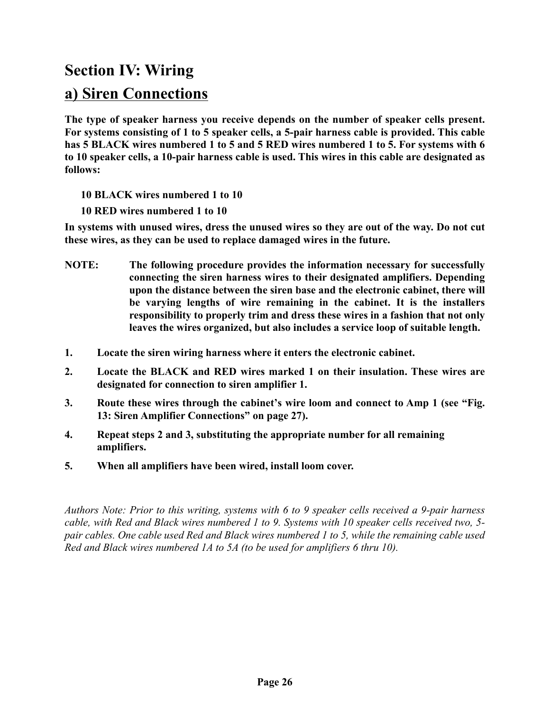### **Section IV: Wiring**

### <span id="page-25-0"></span>**a) Siren Connections**

**The type of speaker harness you receive depends on the number of speaker cells present. For systems consisting of 1 to 5 speaker cells, a 5-pair harness cable is provided. This cable has 5 BLACK wires numbered 1 to 5 and 5 RED wires numbered 1 to 5. For systems with 6 to 10 speaker cells, a 10-pair harness cable is used. This wires in this cable are designated as follows:**

**10 BLACK wires numbered 1 to 10**

**10 RED wires numbered 1 to 10**

**In systems with unused wires, dress the unused wires so they are out of the way. Do not cut these wires, as they can be used to replace damaged wires in the future.**

- **NOTE: The following procedure provides the information necessary for successfully connecting the siren harness wires to their designated amplifiers. Depending upon the distance between the siren base and the electronic cabinet, there will be varying lengths of wire remaining in the cabinet. It is the installers responsibility to properly trim and dress these wires in a fashion that not only leaves the wires organized, but also includes a service loop of suitable length.**
- **1. Locate the siren wiring harness where it enters the electronic cabinet.**
- **2. Locate the BLACK and RED wires marked 1 on their insulation. These wires are designated for connection to siren amplifier 1.**
- **3. Route these wires through the cabinet's wire loom and connect to Amp 1 [\(see "Fig.](#page-26-0) [13: Siren Amplifier Connections" on page 27\)](#page-26-0).**
- **4. Repeat steps 2 and 3, substituting the appropriate number for all remaining amplifiers.**
- **5. When all amplifiers have been wired, install loom cover.**

*Authors Note: Prior to this writing, systems with 6 to 9 speaker cells received a 9-pair harness cable, with Red and Black wires numbered 1 to 9. Systems with 10 speaker cells received two, 5 pair cables. One cable used Red and Black wires numbered 1 to 5, while the remaining cable used Red and Black wires numbered 1A to 5A (to be used for amplifiers 6 thru 10).*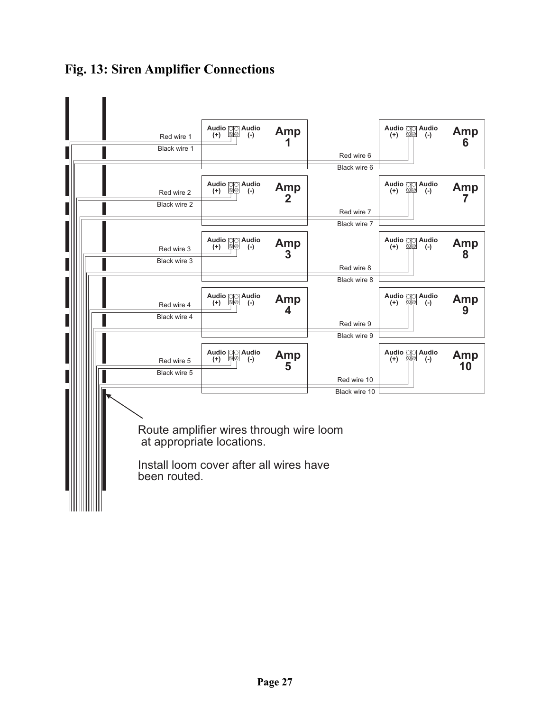

### <span id="page-26-0"></span>**Fig. 13: Siren Amplifier Connections**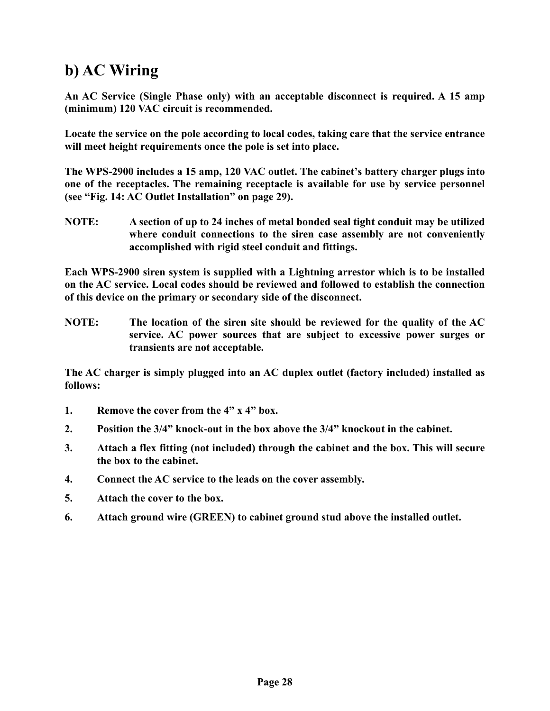### <span id="page-27-0"></span>**b) AC Wiring**

**An AC Service (Single Phase only) with an acceptable disconnect is required. A 15 amp (minimum) 120 VAC circuit is recommended.**

**Locate the service on the pole according to local codes, taking care that the service entrance will meet height requirements once the pole is set into place.**

**The WPS-2900 includes a 15 amp, 120 VAC outlet. The cabinet's battery charger plugs into one of the receptacles. The remaining receptacle is available for use by service personnel [\(see "Fig. 14: AC Outlet Installation" on page 29\).](#page-28-0)**

**NOTE: A section of up to 24 inches of metal bonded seal tight conduit may be utilized where conduit connections to the siren case assembly are not conveniently accomplished with rigid steel conduit and fittings.**

**Each WPS-2900 siren system is supplied with a Lightning arrestor which is to be installed on the AC service. Local codes should be reviewed and followed to establish the connection of this device on the primary or secondary side of the disconnect.**

**NOTE: The location of the siren site should be reviewed for the quality of the AC service. AC power sources that are subject to excessive power surges or transients are not acceptable.**

**The AC charger is simply plugged into an AC duplex outlet (factory included) installed as follows:**

- **1. Remove the cover from the 4" x 4" box.**
- **2. Position the 3/4" knock-out in the box above the 3/4" knockout in the cabinet.**
- **3. Attach a flex fitting (not included) through the cabinet and the box. This will secure the box to the cabinet.**
- **4. Connect the AC service to the leads on the cover assembly.**
- **5. Attach the cover to the box.**
- **6. Attach ground wire (GREEN) to cabinet ground stud above the installed outlet.**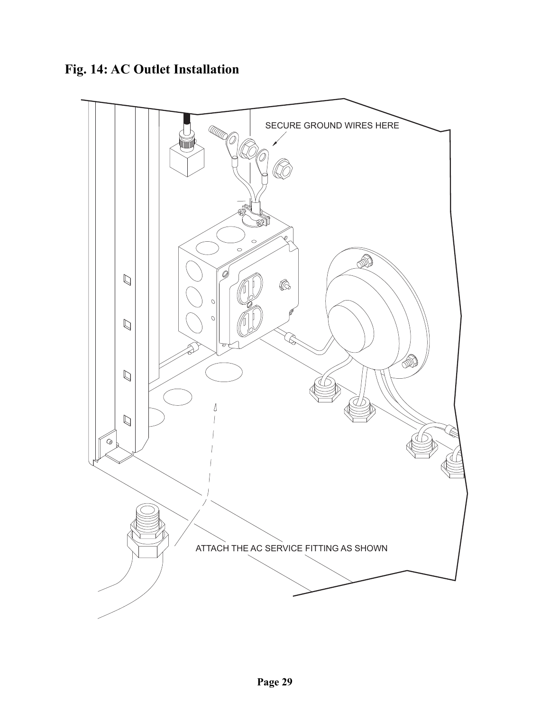### <span id="page-28-0"></span>**Fig. 14: AC Outlet Installation**

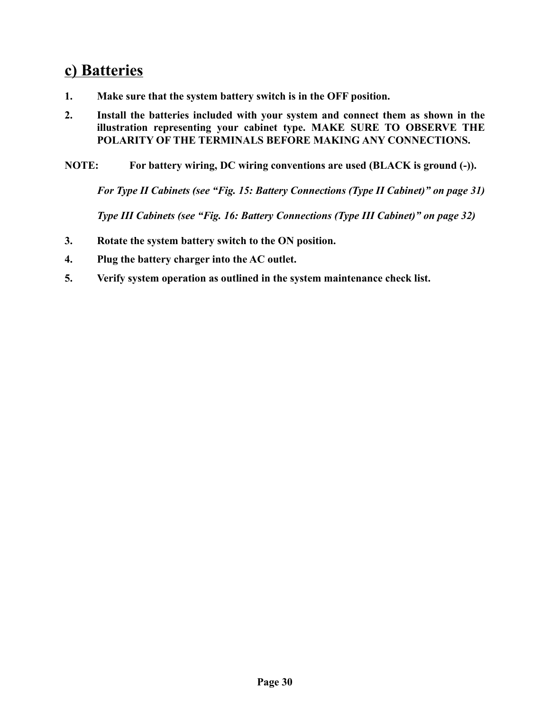### <span id="page-29-0"></span>**c) Batteries**

- **1. Make sure that the system battery switch is in the OFF position.**
- **2. Install the batteries included with your system and connect them as shown in the illustration representing your cabinet type. MAKE SURE TO OBSERVE THE POLARITY OF THE TERMINALS BEFORE MAKING ANY CONNECTIONS.**
- **NOTE: For battery wiring, DC wiring conventions are used (BLACK is ground (-)).**

*For Type II Cabinets [\(see "Fig. 15: Battery Connections \(Type II Cabinet\)" on page 31\)](#page-30-0)*

*Type III Cabinets [\(see "Fig. 16: Battery Connections \(Type III Cabinet\)" on page 32\)](#page-31-0)*

- **3. Rotate the system battery switch to the ON position.**
- **4. Plug the battery charger into the AC outlet.**
- **5. Verify system operation as outlined in the system maintenance check list.**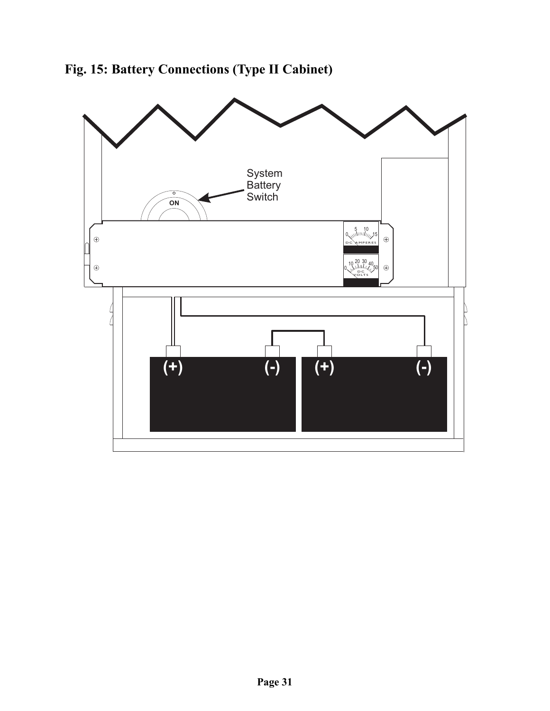<span id="page-30-0"></span>

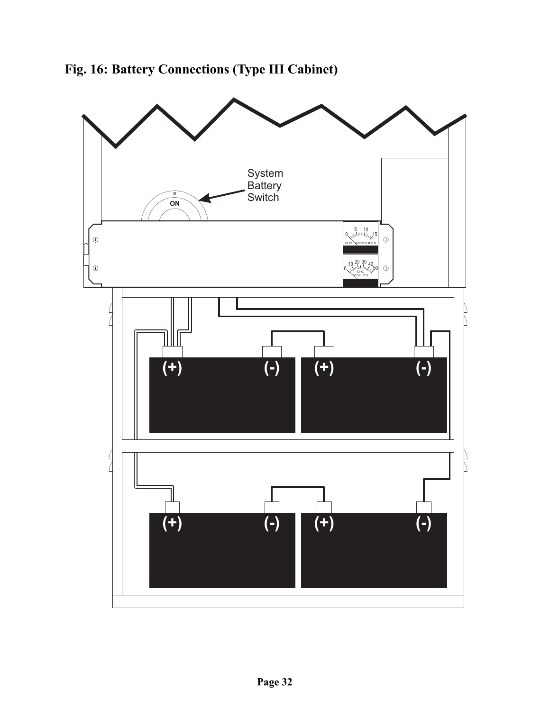<span id="page-31-0"></span>

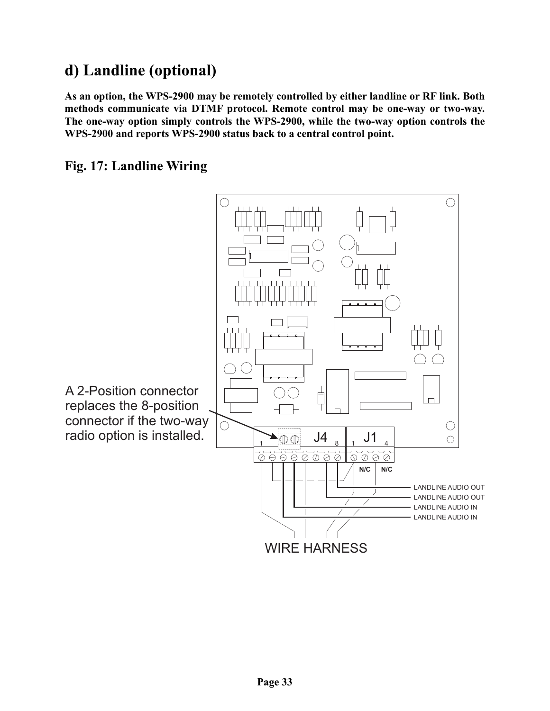### <span id="page-32-0"></span>**d) Landline (optional)**

**As an option, the WPS-2900 may be remotely controlled by either landline or RF link. Both methods communicate via DTMF protocol. Remote control may be one-way or two-way. The one-way option simply controls the WPS-2900, while the two-way option controls the WPS-2900 and reports WPS-2900 status back to a central control point.**

#### <span id="page-32-1"></span>**Fig. 17: Landline Wiring**

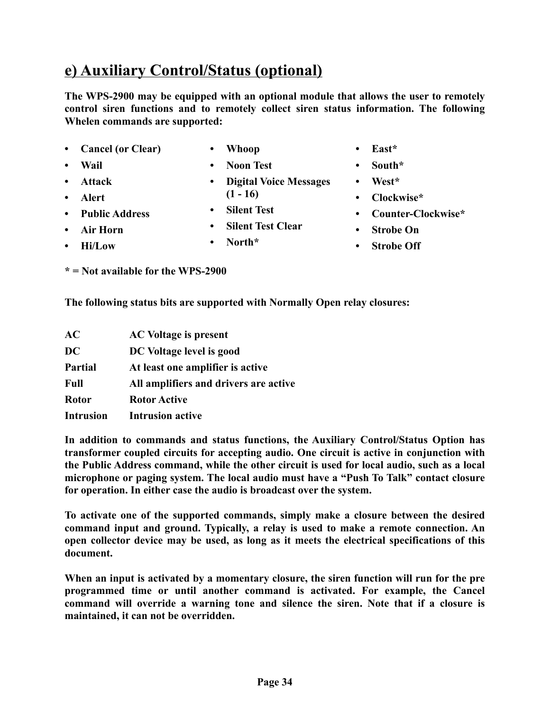<span id="page-33-0"></span>**e) Auxiliary Control/Status (optional)**

- **Cancel (or Clear)**
- **Whoop**

**• Wail**

**• Noon Test • Digital Voice Messages**

**The WPS-2900 may be equipped with an optional module that allows the user to remotely control siren functions and to remotely collect siren status information. The following**

- **(1 16)**
- **Silent Test**
	- **Silent Test Clear**
- 

**Whelen commands are supported:**

**• North\***

- **East\***
- **South\***
- **West\***
- **Clockwise\***
- **Counter-Clockwise\***
- **Strobe On**
- **Strobe Off**

**\* = Not available for the WPS-2900**

**The following status bits are supported with Normally Open relay closures:**

| AC               | <b>AC Voltage is present</b>          |
|------------------|---------------------------------------|
| DC               | DC Voltage level is good              |
| <b>Partial</b>   | At least one amplifier is active      |
| <b>Full</b>      | All amplifiers and drivers are active |
| <b>Rotor</b>     | <b>Rotor Active</b>                   |
| <b>Intrusion</b> | <b>Intrusion active</b>               |

**In addition to commands and status functions, the Auxiliary Control/Status Option has transformer coupled circuits for accepting audio. One circuit is active in conjunction with the Public Address command, while the other circuit is used for local audio, such as a local microphone or paging system. The local audio must have a "Push To Talk" contact closure for operation. In either case the audio is broadcast over the system.**

**To activate one of the supported commands, simply make a closure between the desired command input and ground. Typically, a relay is used to make a remote connection. An open collector device may be used, as long as it meets the electrical specifications of this document.**

**When an input is activated by a momentary closure, the siren function will run for the pre programmed time or until another command is activated. For example, the Cancel command will override a warning tone and silence the siren. Note that if a closure is maintained, it can not be overridden.**

- **Attack • Alert**
- **Public Address • Air Horn**
	- **Hi/Low**
	-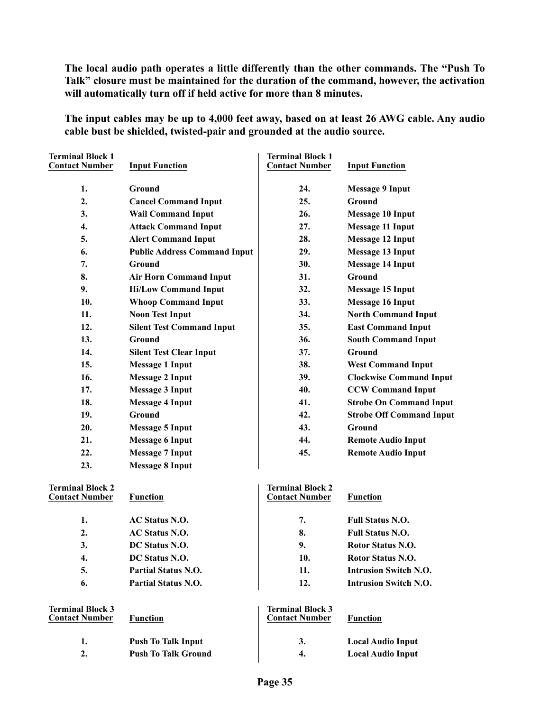**The local audio path operates a little differently than the other commands. The "Push To Talk" closure must be maintained for the duration of the command, however, the activation will automatically turn off if held active for more than 8 minutes.**

**The input cables may be up to 4,000 feet away, based on at least 26 AWG cable. Any audio cable bust be shielded, twisted-pair and grounded at the audio source.**

| <b>Terminal Block 1</b><br><b>Contact Number</b> | <b>Input Function</b>               | <b>Terminal Block 1</b><br><b>Contact Number</b> | <b>Input Function</b>           |
|--------------------------------------------------|-------------------------------------|--------------------------------------------------|---------------------------------|
| 1.                                               | <b>Ground</b>                       | 24.                                              | <b>Message 9 Input</b>          |
| 2.                                               | <b>Cancel Command Input</b>         | 25.                                              | Ground                          |
| 3.                                               | <b>Wail Command Input</b>           | 26.                                              | <b>Message 10 Input</b>         |
| 4.                                               | <b>Attack Command Input</b>         | 27.                                              | <b>Message 11 Input</b>         |
| 5.                                               | <b>Alert Command Input</b>          | 28.                                              | <b>Message 12 Input</b>         |
| 6.                                               | <b>Public Address Command Input</b> | 29.                                              | <b>Message 13 Input</b>         |
| 7.                                               | Ground                              | 30.                                              | <b>Message 14 Input</b>         |
| 8.                                               | <b>Air Horn Command Input</b>       | 31.                                              | Ground                          |
| 9.                                               | <b>Hi/Low Command Input</b>         | 32.                                              | <b>Message 15 Input</b>         |
| 10.                                              | <b>Whoop Command Input</b>          | 33.                                              | <b>Message 16 Input</b>         |
| 11.                                              | <b>Noon Test Input</b>              | 34.                                              | <b>North Command Input</b>      |
| 12.                                              | <b>Silent Test Command Input</b>    | 35.                                              | <b>East Command Input</b>       |
| 13.                                              | Ground                              | 36.                                              | <b>South Command Input</b>      |
| 14.                                              | <b>Silent Test Clear Input</b>      | 37.                                              | Ground                          |
| 15.                                              | <b>Message 1 Input</b>              | 38.                                              | <b>West Command Input</b>       |
| 16.                                              | <b>Message 2 Input</b>              | 39.                                              | <b>Clockwise Command Input</b>  |
| 17.                                              | <b>Message 3 Input</b>              | 40.                                              | <b>CCW Command Input</b>        |
| 18.                                              | <b>Message 4 Input</b>              | 41.                                              | <b>Strobe On Command Input</b>  |
| 19.                                              | Ground                              | 42.                                              | <b>Strobe Off Command Input</b> |
| 20.                                              | <b>Message 5 Input</b>              | 43.                                              | Ground                          |
| 21.                                              | <b>Message 6 Input</b>              | 44.                                              | <b>Remote Audio Input</b>       |
| 22.                                              | <b>Message 7 Input</b>              | 45.                                              | <b>Remote Audio Input</b>       |
| 23.                                              | <b>Message 8 Input</b>              |                                                  |                                 |
| <b>Terminal Block 2</b><br><b>Contact Number</b> | <b>Function</b>                     | <b>Terminal Block 2</b><br><b>Contact Number</b> | <b>Function</b>                 |
|                                                  |                                     |                                                  |                                 |
| 1.                                               | <b>AC Status N.O.</b>               | 7.                                               | <b>Full Status N.O.</b>         |
| 2.                                               | <b>AC Status N.O.</b>               | 8.                                               | <b>Full Status N.O.</b>         |
| 3.                                               | DC Status N.O.                      | 9.                                               | Rotor Status N.O.               |
| 4.                                               | DC Status N.O.                      | 10.                                              | Rotor Status N.O.               |
| 5.                                               | <b>Partial Status N.O.</b>          | 11.                                              | <b>Intrusion Switch N.O.</b>    |
| 6.                                               | <b>Partial Status N.O.</b>          | 12.                                              | <b>Intrusion Switch N.O.</b>    |
| <b>Terminal Block 3</b><br><b>Contact Number</b> | <b>Function</b>                     | <b>Terminal Block 3</b><br><b>Contact Number</b> | <b>Function</b>                 |
| 1.                                               | <b>Push To Talk Input</b>           | 3.                                               | <b>Local Audio Input</b>        |
| 2.                                               | <b>Push To Talk Ground</b>          | 4.                                               | <b>Local Audio Input</b>        |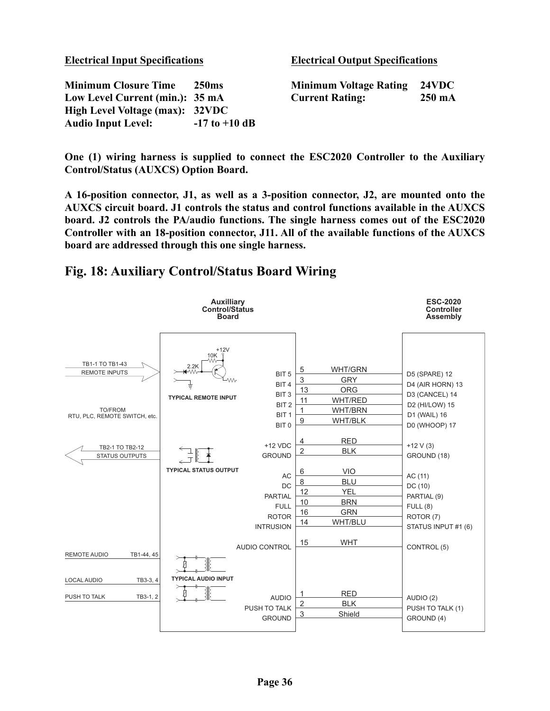| <b>Electrical Input Specifications</b> |                   | <b>Electrical Output Specifications</b> |                  |
|----------------------------------------|-------------------|-----------------------------------------|------------------|
| <b>Minimum Closure Time</b>            | <b>250</b> ms     | <b>Minimum Voltage Rating</b>           | 24VDC            |
| Low Level Current (min.): 35 mA        |                   | <b>Current Rating:</b>                  | $250 \text{ mA}$ |
| High Level Voltage (max): 32VDC        |                   |                                         |                  |
| <b>Audio Input Level:</b>              | $-17$ to $+10$ dB |                                         |                  |

**One (1) wiring harness is supplied to connect the ESC2020 Controller to the Auxiliary Control/Status (AUXCS) Option Board.**

**A 16-position connector, J1, as well as a 3-position connector, J2, are mounted onto the AUXCS circuit board. J1 controls the status and control functions available in the AUXCS board. J2 controls the PA/audio functions. The single harness comes out of the ESC2020 Controller with an 18-position connector, J11. All of the available functions of the AUXCS board are addressed through this one single harness.**

#### <span id="page-35-0"></span>**Fig. 18: Auxiliary Control/Status Board Wiring**

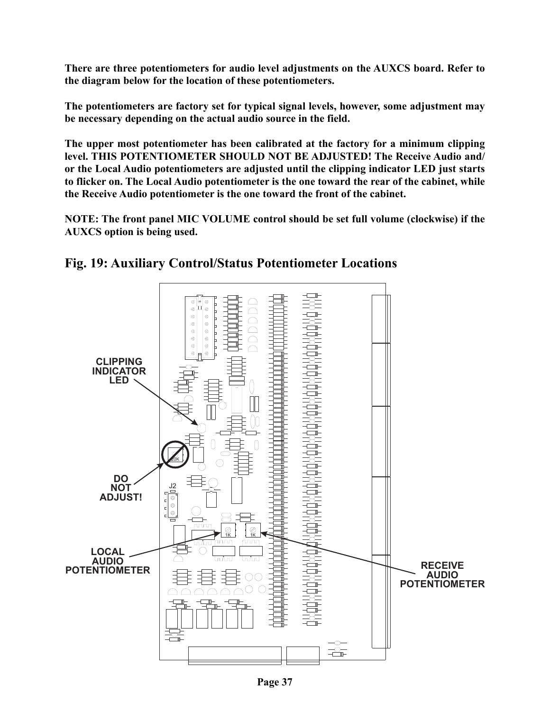**There are three potentiometers for audio level adjustments on the AUXCS board. Refer to the diagram below for the location of these potentiometers.**

**The potentiometers are factory set for typical signal levels, however, some adjustment may be necessary depending on the actual audio source in the field.**

**The upper most potentiometer has been calibrated at the factory for a minimum clipping level. THIS POTENTIOMETER SHOULD NOT BE ADJUSTED! The Receive Audio and/ or the Local Audio potentiometers are adjusted until the clipping indicator LED just starts to flicker on. The Local Audio potentiometer is the one toward the rear of the cabinet, while the Receive Audio potentiometer is the one toward the front of the cabinet.**

**NOTE: The front panel MIC VOLUME control should be set full volume (clockwise) if the AUXCS option is being used.**



<span id="page-36-0"></span>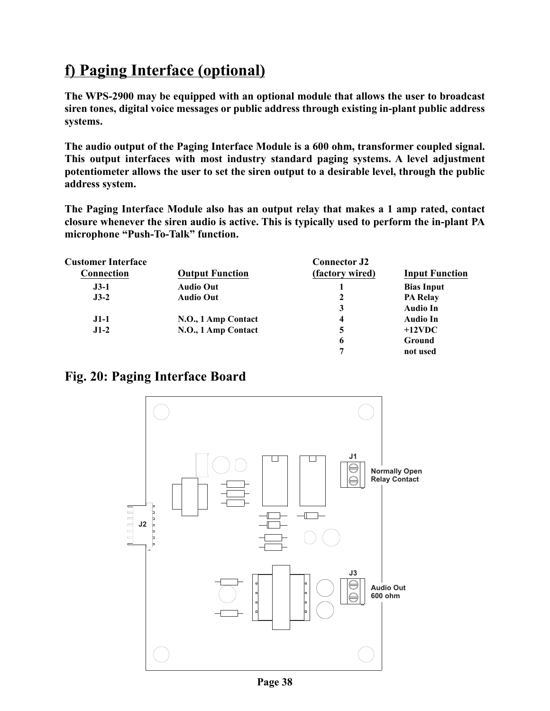### <span id="page-37-0"></span>**f) Paging Interface (optional)**

**The WPS-2900 may be equipped with an optional module that allows the user to broadcast siren tones, digital voice messages or public address through existing in-plant public address systems.**

**The audio output of the Paging Interface Module is a 600 ohm, transformer coupled signal. This output interfaces with most industry standard paging systems. A level adjustment potentiometer allows the user to set the siren output to a desirable level, through the public address system.**

**The Paging Interface Module also has an output relay that makes a 1 amp rated, contact closure whenever the siren audio is active. This is typically used to perform the in-plant PA microphone "Push-To-Talk" function.**

| <b>Customer Interface</b> |                        | <b>Connector J2</b>     |                       |
|---------------------------|------------------------|-------------------------|-----------------------|
| <b>Connection</b>         | <b>Output Function</b> | (factory wired)         | <b>Input Function</b> |
| $J3-1$                    | <b>Audio Out</b>       |                         | <b>Bias Input</b>     |
| $J3-2$                    | <b>Audio Out</b>       | 2                       | <b>PA Relay</b>       |
|                           |                        | 3                       | <b>Audio In</b>       |
| $J1-1$                    | N.O., 1 Amp Contact    | $\overline{\mathbf{4}}$ | <b>Audio In</b>       |
| $J1-2$                    | N.O., 1 Amp Contact    | 5                       | $+12$ VDC             |
|                           |                        | 6                       | Ground                |
|                           |                        | 7                       | not used              |

#### <span id="page-37-1"></span>**Fig. 20: Paging Interface Board**

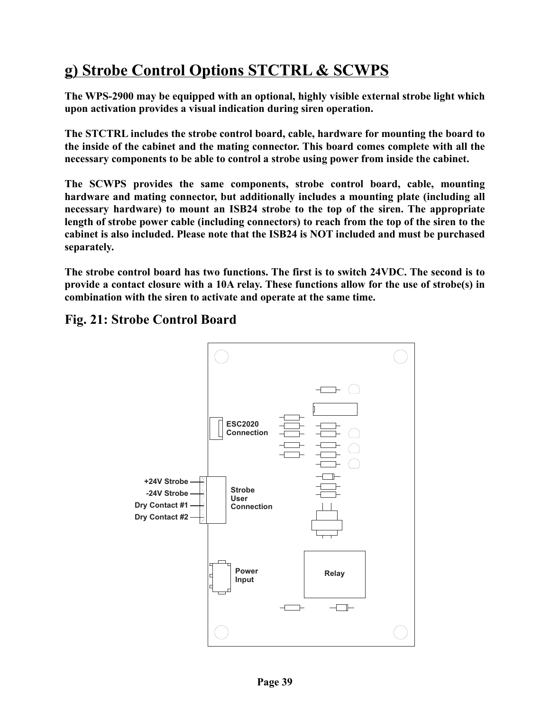### <span id="page-38-0"></span>**g) Strobe Control Options STCTRL & SCWPS**

**The WPS-2900 may be equipped with an optional, highly visible external strobe light which upon activation provides a visual indication during siren operation.**

**The STCTRL includes the strobe control board, cable, hardware for mounting the board to the inside of the cabinet and the mating connector. This board comes complete with all the necessary components to be able to control a strobe using power from inside the cabinet.**

**The SCWPS provides the same components, strobe control board, cable, mounting hardware and mating connector, but additionally includes a mounting plate (including all necessary hardware) to mount an ISB24 strobe to the top of the siren. The appropriate length of strobe power cable (including connectors) to reach from the top of the siren to the cabinet is also included. Please note that the ISB24 is NOT included and must be purchased separately.**

**The strobe control board has two functions. The first is to switch 24VDC. The second is to provide a contact closure with a 10A relay. These functions allow for the use of strobe(s) in combination with the siren to activate and operate at the same time.**

<span id="page-38-1"></span>**Fig. 21: Strobe Control Board**

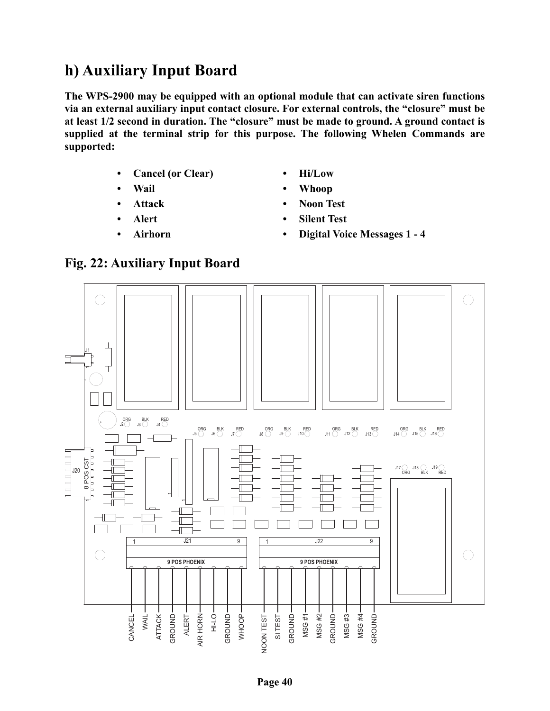### <span id="page-39-0"></span>**h) Auxiliary Input Board**

**The WPS-2900 may be equipped with an optional module that can activate siren functions via an external auxiliary input contact closure. For external controls, the "closure" must be at least 1/2 second in duration. The "closure" must be made to ground. A ground contact is supplied at the terminal strip for this purpose. The following Whelen Commands are supported:**

- **Cancel (or Clear)**
- **Wail**
- **Attack**
- **Alert**
- **Airhorn**
- **Hi/Low**
- **Whoop**
- **Noon Test**
- **Silent Test**
- **Digital Voice Messages 1 4**

<span id="page-39-1"></span>

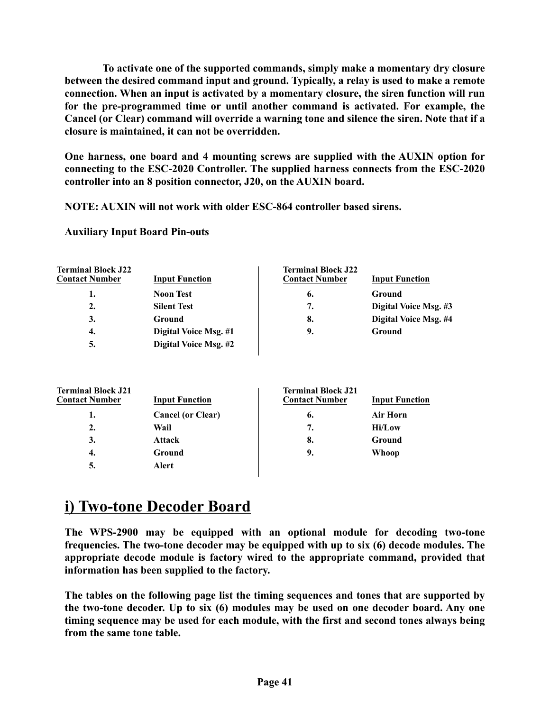**To activate one of the supported commands, simply make a momentary dry closure between the desired command input and ground. Typically, a relay is used to make a remote connection. When an input is activated by a momentary closure, the siren function will run for the pre-programmed time or until another command is activated. For example, the Cancel (or Clear) command will override a warning tone and silence the siren. Note that if a closure is maintained, it can not be overridden.**

**One harness, one board and 4 mounting screws are supplied with the AUXIN option for connecting to the ESC-2020 Controller. The supplied harness connects from the ESC-2020 controller into an 8 position connector, J20, on the AUXIN board.**

**NOTE: AUXIN will not work with older ESC-864 controller based sirens.**

**Auxiliary Input Board Pin-outs**

**Terminal Block Jackson** 

| <b>Terminal Block J22</b><br><b>Contact Number</b> | <b>Input Function</b>    | <b>Terminal Block J22</b><br><b>Contact Number</b> | <b>Input Function</b> |
|----------------------------------------------------|--------------------------|----------------------------------------------------|-----------------------|
| 1.                                                 | <b>Noon Test</b>         | 6.                                                 | Ground                |
| 2.                                                 | <b>Silent Test</b>       | 7.                                                 | Digital Voice Msg. #3 |
| 3.                                                 | Ground                   | 8.                                                 | Digital Voice Msg. #4 |
| 4.                                                 | Digital Voice Msg. #1    | 9.                                                 | Ground                |
| 5.                                                 | Digital Voice Msg. #2    |                                                    |                       |
| <b>Terminal Block J21</b><br><b>Contact Number</b> | <b>Input Function</b>    | <b>Terminal Block J21</b><br><b>Contact Number</b> | <b>Input Function</b> |
| 1.                                                 | <b>Cancel (or Clear)</b> | 6.                                                 | Air Horn              |
| $\overline{2}$ .                                   | Wail                     | 7.                                                 | <b>Hi/Low</b>         |
| 3.                                                 | <b>Attack</b>            | 8.                                                 | Ground                |
| 4.                                                 | Ground                   | 9.                                                 | Whoop                 |
|                                                    |                          |                                                    |                       |

### **i) Two-tone Decoder Board**

**5. Alert**

**The WPS-2900 may be equipped with an optional module for decoding two-tone frequencies. The two-tone decoder may be equipped with up to six (6) decode modules. The appropriate decode module is factory wired to the appropriate command, provided that information has been supplied to the factory.**

**The tables on the following page list the timing sequences and tones that are supported by the two-tone decoder. Up to six (6) modules may be used on one decoder board. Any one timing sequence may be used for each module, with the first and second tones always being from the same tone table.**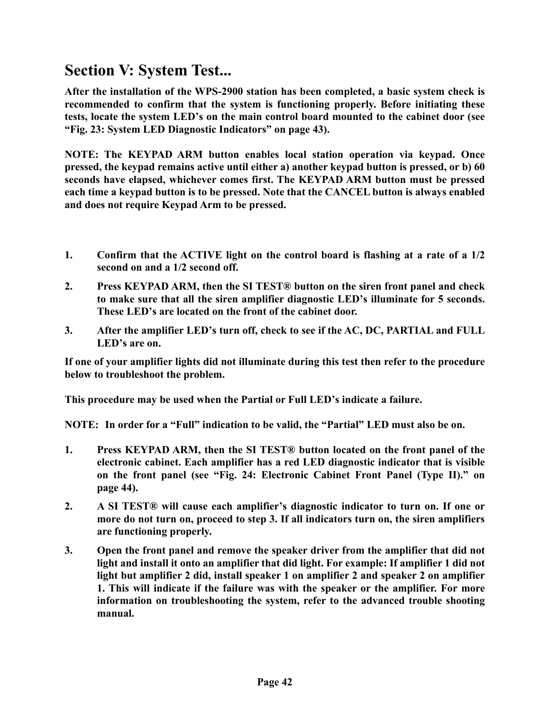### <span id="page-41-0"></span>**Section V: System Test...**

**After the installation of the WPS-2900 station has been completed, a basic system check is recommended to confirm that the system is functioning properly. Before initiating these tests, locate the system LED's on the main control board mounted to the cabinet door [\(see](#page-42-0) ["Fig. 23: System LED Diagnostic Indicators" on page 43\)](#page-42-0).**

**NOTE: The KEYPAD ARM button enables local station operation via keypad. Once pressed, the keypad remains active until either a) another keypad button is pressed, or b) 60 seconds have elapsed, whichever comes first. The KEYPAD ARM button must be pressed each time a keypad button is to be pressed. Note that the CANCEL button is always enabled and does not require Keypad Arm to be pressed.**

- **1. Confirm that the ACTIVE light on the control board is flashing at a rate of a 1/2 second on and a 1/2 second off.**
- **2. Press KEYPAD ARM, then the SI TEST® button on the siren front panel and check to make sure that all the siren amplifier diagnostic LED's illuminate for 5 seconds. These LED's are located on the front of the cabinet door.**
- **3. After the amplifier LED's turn off, check to see if the AC, DC, PARTIAL and FULL LED's are on.**

**If one of your amplifier lights did not illuminate during this test then refer to the procedure below to troubleshoot the problem.**

**This procedure may be used when the Partial or Full LED's indicate a failure.** 

**NOTE: In order for a "Full" indication to be valid, the "Partial" LED must also be on.**

- **1. Press KEYPAD ARM, then the SI TEST® button located on the front panel of the electronic cabinet. Each amplifier has a red LED diagnostic indicator that is visible on the front panel [\(see "Fig. 24: Electronic Cabinet Front Panel \(Type II\)." on](#page-43-0) [page 44\).](#page-43-0)**
- **2. A SI TEST® will cause each amplifier's diagnostic indicator to turn on. If one or more do not turn on, proceed to step 3. If all indicators turn on, the siren amplifiers are functioning properly.**
- **3. Open the front panel and remove the speaker driver from the amplifier that did not light and install it onto an amplifier that did light. For example: If amplifier 1 did not light but amplifier 2 did, install speaker 1 on amplifier 2 and speaker 2 on amplifier 1. This will indicate if the failure was with the speaker or the amplifier. For more information on troubleshooting the system, refer to the advanced trouble shooting manual.**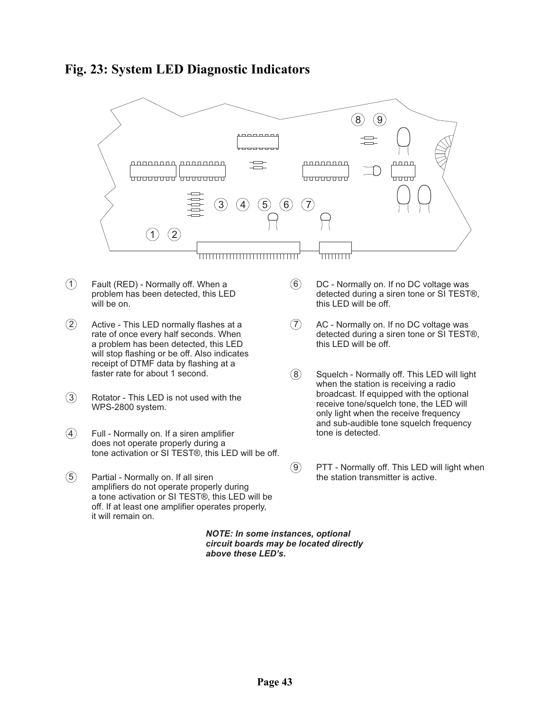<span id="page-42-0"></span>